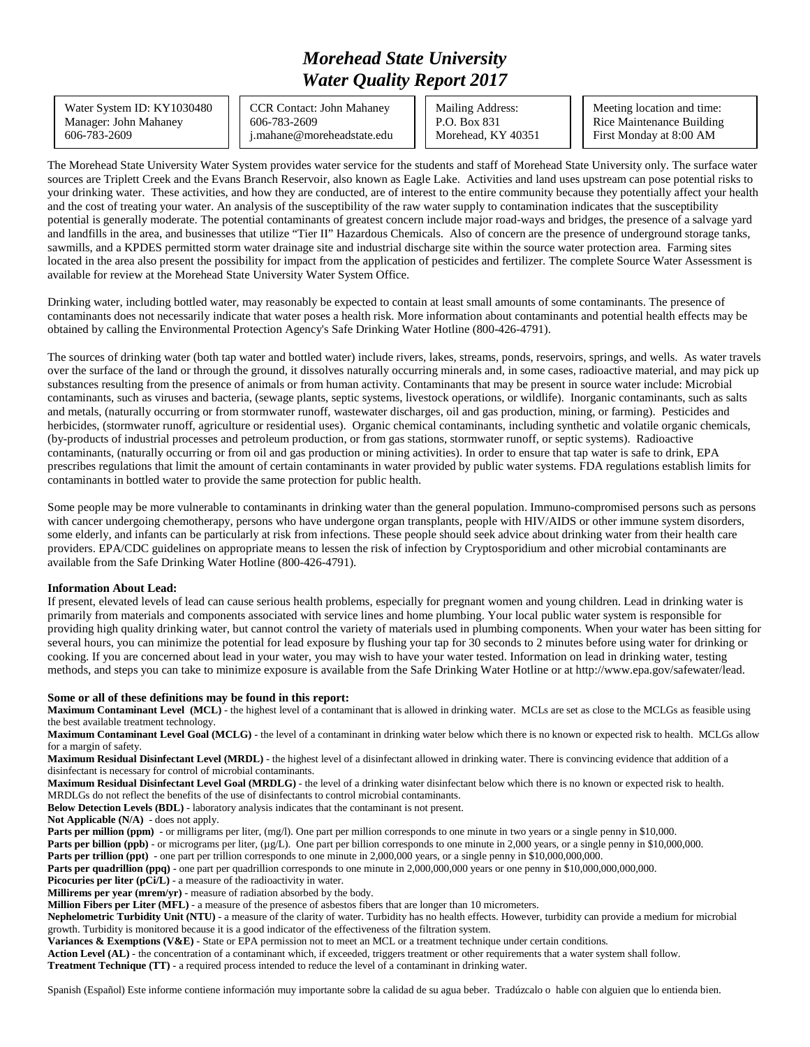## *Morehead State University Water Quality Report 2017*

Water System ID: KY1030480 Manager: John Mahaney 606-783-2609

CCR Contact: John Mahaney 606-783-2609 j.mahane@moreheadstate.edu Mailing Address: P.O. Box 831 Morehead, KY 40351

Meeting location and time: Rice Maintenance Building First Monday at 8:00 AM

The Morehead State University Water System provides water service for the students and staff of Morehead State University only. The surface water sources are Triplett Creek and the Evans Branch Reservoir, also known as Eagle Lake. Activities and land uses upstream can pose potential risks to your drinking water. These activities, and how they are conducted, are of interest to the entire community because they potentially affect your health and the cost of treating your water. An analysis of the susceptibility of the raw water supply to contamination indicates that the susceptibility potential is generally moderate. The potential contaminants of greatest concern include major road-ways and bridges, the presence of a salvage yard and landfills in the area, and businesses that utilize "Tier II" Hazardous Chemicals. Also of concern are the presence of underground storage tanks, sawmills, and a KPDES permitted storm water drainage site and industrial discharge site within the source water protection area. Farming sites located in the area also present the possibility for impact from the application of pesticides and fertilizer. The complete Source Water Assessment is available for review at the Morehead State University Water System Office.

Drinking water, including bottled water, may reasonably be expected to contain at least small amounts of some contaminants. The presence of contaminants does not necessarily indicate that water poses a health risk. More information about contaminants and potential health effects may be obtained by calling the Environmental Protection Agency's Safe Drinking Water Hotline (800-426-4791).

The sources of drinking water (both tap water and bottled water) include rivers, lakes, streams, ponds, reservoirs, springs, and wells. As water travels over the surface of the land or through the ground, it dissolves naturally occurring minerals and, in some cases, radioactive material, and may pick up substances resulting from the presence of animals or from human activity. Contaminants that may be present in source water include: Microbial contaminants, such as viruses and bacteria, (sewage plants, septic systems, livestock operations, or wildlife). Inorganic contaminants, such as salts and metals, (naturally occurring or from stormwater runoff, wastewater discharges, oil and gas production, mining, or farming). Pesticides and herbicides, (stormwater runoff, agriculture or residential uses). Organic chemical contaminants, including synthetic and volatile organic chemicals, (by-products of industrial processes and petroleum production, or from gas stations, stormwater runoff, or septic systems). Radioactive contaminants, (naturally occurring or from oil and gas production or mining activities). In order to ensure that tap water is safe to drink, EPA prescribes regulations that limit the amount of certain contaminants in water provided by public water systems. FDA regulations establish limits for contaminants in bottled water to provide the same protection for public health.

Some people may be more vulnerable to contaminants in drinking water than the general population. Immuno-compromised persons such as persons with cancer undergoing chemotherapy, persons who have undergone organ transplants, people with HIV/AIDS or other immune system disorders, some elderly, and infants can be particularly at risk from infections. These people should seek advice about drinking water from their health care providers. EPA/CDC guidelines on appropriate means to lessen the risk of infection by Cryptosporidium and other microbial contaminants are available from the Safe Drinking Water Hotline (800-426-4791).

## **Information About Lead:**

If present, elevated levels of lead can cause serious health problems, especially for pregnant women and young children. Lead in drinking water is primarily from materials and components associated with service lines and home plumbing. Your local public water system is responsible for providing high quality drinking water, but cannot control the variety of materials used in plumbing components. When your water has been sitting for several hours, you can minimize the potential for lead exposure by flushing your tap for 30 seconds to 2 minutes before using water for drinking or cooking. If you are concerned about lead in your water, you may wish to have your water tested. Information on lead in drinking water, testing methods, and steps you can take to minimize exposure is available from the Safe Drinking Water Hotline or at http://www.epa.gov/safewater/lead.

## **Some or all of these definitions may be found in this report:**

**Maximum Contaminant Level (MCL)** - the highest level of a contaminant that is allowed in drinking water. MCLs are set as close to the MCLGs as feasible using the best available treatment technology.

**Maximum Contaminant Level Goal (MCLG)** - the level of a contaminant in drinking water below which there is no known or expected risk to health. MCLGs allow for a margin of safety.

**Maximum Residual Disinfectant Level (MRDL)** - the highest level of a disinfectant allowed in drinking water. There is convincing evidence that addition of a disinfectant is necessary for control of microbial contaminants.

**Maximum Residual Disinfectant Level Goal (MRDLG)** - the level of a drinking water disinfectant below which there is no known or expected risk to health. MRDLGs do not reflect the benefits of the use of disinfectants to control microbial contaminants.

**Below Detection Levels (BDL)** - laboratory analysis indicates that the contaminant is not present.

**Not Applicable (N/A)** - does not apply.

**Parts per million (ppm)** - or milligrams per liter, (mg/l). One part per million corresponds to one minute in two years or a single penny in \$10,000.

**Parts per billion (ppb)** - or micrograms per liter, (µg/L). One part per billion corresponds to one minute in 2,000 years, or a single penny in \$10,000,000.

**Parts per trillion (ppt)** - one part per trillion corresponds to one minute in 2,000,000 years, or a single penny in \$10,000,000,000.

**Parts per quadrillion (ppq)** - one part per quadrillion corresponds to one minute in 2,000,000,000 years or one penny in \$10,000,000,000,000.

Picocuries per liter (pCi/L) - a measure of the radioactivity in water.

**Millirems per year (mrem/yr)** - measure of radiation absorbed by the body.

**Million Fibers per Liter (MFL)** - a measure of the presence of asbestos fibers that are longer than 10 micrometers.

**Nephelometric Turbidity Unit (NTU)** - a measure of the clarity of water. Turbidity has no health effects. However, turbidity can provide a medium for microbial growth. Turbidity is monitored because it is a good indicator of the effectiveness of the filtration system.

**Variances & Exemptions (V&E)** - State or EPA permission not to meet an MCL or a treatment technique under certain conditions.

**Action Level (AL)** - the concentration of a contaminant which, if exceeded, triggers treatment or other requirements that a water system shall follow.

**Treatment Technique (TT)** - a required process intended to reduce the level of a contaminant in drinking water.

Spanish (Español) Este informe contiene información muy importante sobre la calidad de su agua beber. Tradúzcalo o hable con alguien que lo entienda bien.